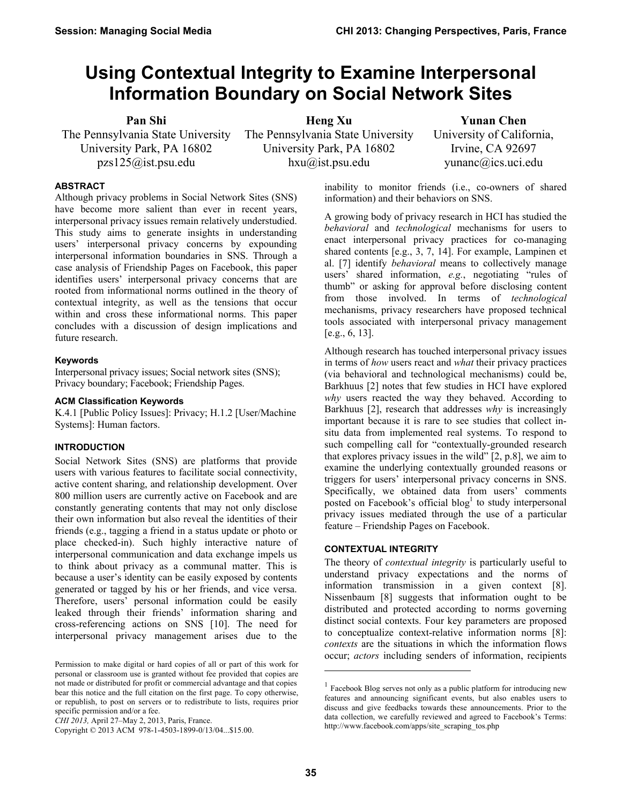# **Using Contextual Integrity to Examine Interpersonal Information Boundary on Social Network Sites**

**Pan Shi**  The Pennsylvania State University University Park, PA 16802 pzs125@ist.psu.edu

**Heng Xu**  The Pennsylvania State University University Park, PA 16802 hxu@ist.psu.edu

**Yunan Chen**  University of California, Irvine, CA 92697 yunanc@ics.uci.edu

## **ABSTRACT**

Although privacy problems in Social Network Sites (SNS) have become more salient than ever in recent years, interpersonal privacy issues remain relatively understudied. This study aims to generate insights in understanding users' interpersonal privacy concerns by expounding interpersonal information boundaries in SNS. Through a case analysis of Friendship Pages on Facebook, this paper identifies users' interpersonal privacy concerns that are rooted from informational norms outlined in the theory of contextual integrity, as well as the tensions that occur within and cross these informational norms. This paper concludes with a discussion of design implications and future research.

#### **Keywords**

Interpersonal privacy issues; Social network sites (SNS); Privacy boundary; Facebook; Friendship Pages.

## **ACM Classification Keywords**

K.4.1 [Public Policy Issues]: Privacy; H.1.2 [User/Machine Systems]: Human factors.

# **INTRODUCTION**

Social Network Sites (SNS) are platforms that provide users with various features to facilitate social connectivity, active content sharing, and relationship development. Over 800 million users are currently active on Facebook and are constantly generating contents that may not only disclose their own information but also reveal the identities of their friends (e.g., tagging a friend in a status update or photo or place checked-in). Such highly interactive nature of interpersonal communication and data exchange impels us to think about privacy as a communal matter. This is because a user's identity can be easily exposed by contents generated or tagged by his or her friends, and vice versa. Therefore, users' personal information could be easily leaked through their friends' information sharing and cross-referencing actions on SNS [10]. The need for interpersonal privacy management arises due to the inability to monitor friends (i.e., co-owners of shared information) and their behaviors on SNS.

A growing body of privacy research in HCI has studied the *behavioral* and *technological* mechanisms for users to enact interpersonal privacy practices for co-managing shared contents [e.g., 3, 7, 14]. For example, Lampinen et al. [7] identify *behavioral* means to collectively manage users' shared information, *e.g.*, negotiating "rules of thumb" or asking for approval before disclosing content from those involved. In terms of *technological* mechanisms, privacy researchers have proposed technical tools associated with interpersonal privacy management [e.g., 6, 13].

Although research has touched interpersonal privacy issues in terms of *how* users react and *what* their privacy practices (via behavioral and technological mechanisms) could be, Barkhuus [2] notes that few studies in HCI have explored *why* users reacted the way they behaved. According to Barkhuus [2], research that addresses *why* is increasingly important because it is rare to see studies that collect insitu data from implemented real systems. To respond to such compelling call for "contextually-grounded research that explores privacy issues in the wild" [2, p.8], we aim to examine the underlying contextually grounded reasons or triggers for users' interpersonal privacy concerns in SNS. Specifically, we obtained data from users' comments posted on Facebook's official blog<sup>1</sup> to study interpersonal privacy issues mediated through the use of a particular feature – Friendship Pages on Facebook.

#### **CONTEXTUAL INTEGRITY**

The theory of *contextual integrity* is particularly useful to understand privacy expectations and the norms of information transmission in a given context [8]. Nissenbaum [8] suggests that information ought to be distributed and protected according to norms governing distinct social contexts. Four key parameters are proposed to conceptualize context-relative information norms [8]: *contexts* are the situations in which the information flows occur; *actors* including senders of information, recipients

 $\overline{\phantom{a}}$ 

Permission to make digital or hard copies of all or part of this work for personal or classroom use is granted without fee provided that copies are not made or distributed for profit or commercial advantage and that copies bear this notice and the full citation on the first page. To copy otherwise, or republish, to post on servers or to redistribute to lists, requires prior specific permission and/or a fee.

*CHI 2013,* April 27–May 2, 2013, Paris, France.

Copyright © 2013 ACM 978-1-4503-1899-0/13/04...\$15.00.

 $1$  Facebook Blog serves not only as a public platform for introducing new features and announcing significant events, but also enables users to discuss and give feedbacks towards these announcements. Prior to the data collection, we carefully reviewed and agreed to Facebook's Terms: http://www.facebook.com/apps/site\_scraping\_tos.php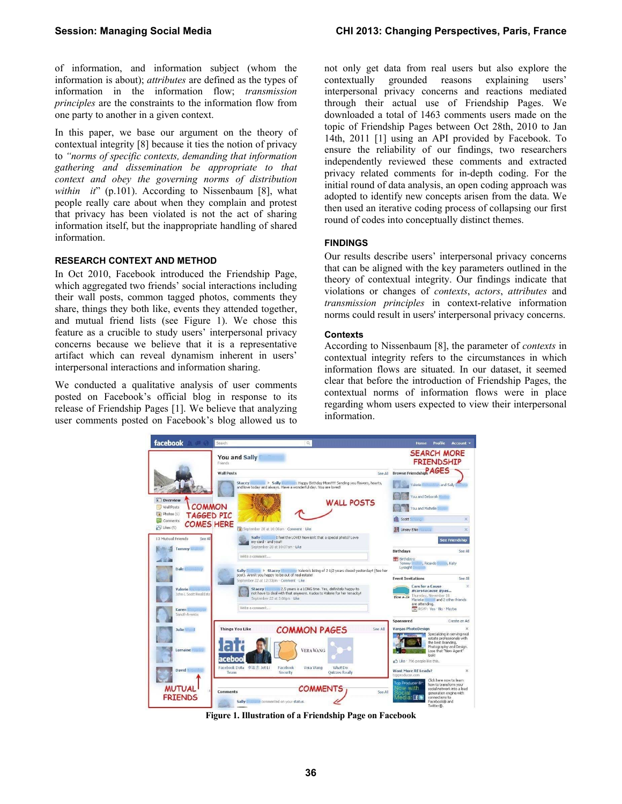of information, and information subject (whom the information is about); *attributes* are defined as the types of information in the information flow; *transmission principles* are the constraints to the information flow from one party to another in a given context.

In this paper, we base our argument on the theory of contextual integrity [8] because it ties the notion of privacy to *"norms of specific contexts, demanding that information gathering and dissemination be appropriate to that context and obey the governing norms of distribution within it*" (p.101). According to Nissenbaum [8], what people really care about when they complain and protest that privacy has been violated is not the act of sharing information itself, but the inappropriate handling of shared information.

#### **RESEARCH CONTEXT AND METHOD**

In Oct 2010, Facebook introduced the Friendship Page, which aggregated two friends' social interactions including their wall posts, common tagged photos, comments they share, things they both like, events they attended together, and mutual friend lists (see Figure 1). We chose this feature as a crucible to study users' interpersonal privacy concerns because we believe that it is a representative artifact which can reveal dynamism inherent in users' interpersonal interactions and information sharing.

We conducted a qualitative analysis of user comments posted on Facebook's official blog in response to its release of Friendship Pages [1]. We believe that analyzing user comments posted on Facebook's blog allowed us to not only get data from real users but also explore the contextually grounded reasons explaining users' interpersonal privacy concerns and reactions mediated through their actual use of Friendship Pages. We downloaded a total of 1463 comments users made on the topic of Friendship Pages between Oct 28th, 2010 to Jan 14th, 2011 [1] using an API provided by Facebook. To ensure the reliability of our findings, two researchers independently reviewed these comments and extracted privacy related comments for in-depth coding. For the initial round of data analysis, an open coding approach was adopted to identify new concepts arisen from the data. We then used an iterative coding process of collapsing our first round of codes into conceptually distinct themes.

# **FINDINGS**

Our results describe users' interpersonal privacy concerns that can be aligned with the key parameters outlined in the theory of contextual integrity. Our findings indicate that violations or changes of *contexts*, *actors*, *attributes* and *transmission principles* in context-relative information norms could result in users' interpersonal privacy concerns.

#### **Contexts**

According to Nissenbaum [8], the parameter of *contexts* in contextual integrity refers to the circumstances in which information flows are situated. In our dataset, it seemed clear that before the introduction of Friendship Pages, the contextual norms of information flows were in place regarding whom users expected to view their interpersonal information.



**Figure 1. Illustration of a Friendship Page on Facebook**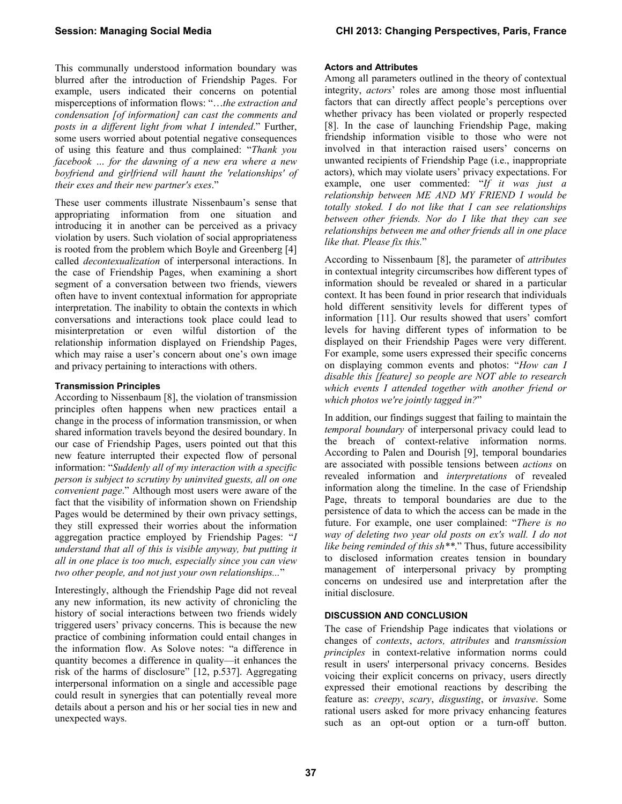This communally understood information boundary was blurred after the introduction of Friendship Pages. For example, users indicated their concerns on potential misperceptions of information flows: "…*the extraction and condensation [of information] can cast the comments and posts in a different light from what I intended*." Further, some users worried about potential negative consequences of using this feature and thus complained: "*Thank you facebook … for the dawning of a new era where a new boyfriend and girlfriend will haunt the 'relationships' of their exes and their new partner's exes*."

These user comments illustrate Nissenbaum's sense that appropriating information from one situation and introducing it in another can be perceived as a privacy violation by users. Such violation of social appropriateness is rooted from the problem which Boyle and Greenberg [4] called *decontexualization* of interpersonal interactions. In the case of Friendship Pages, when examining a short segment of a conversation between two friends, viewers often have to invent contextual information for appropriate interpretation. The inability to obtain the contexts in which conversations and interactions took place could lead to misinterpretation or even wilful distortion of the relationship information displayed on Friendship Pages, which may raise a user's concern about one's own image and privacy pertaining to interactions with others.

# **Transmission Principles**

According to Nissenbaum [8], the violation of transmission principles often happens when new practices entail a change in the process of information transmission, or when shared information travels beyond the desired boundary. In our case of Friendship Pages, users pointed out that this new feature interrupted their expected flow of personal information: "*Suddenly all of my interaction with a specific person is subject to scrutiny by uninvited guests, all on one convenient page*." Although most users were aware of the fact that the visibility of information shown on Friendship Pages would be determined by their own privacy settings, they still expressed their worries about the information aggregation practice employed by Friendship Pages: "*I understand that all of this is visible anyway, but putting it all in one place is too much, especially since you can view two other people, and not just your own relationships...*"

Interestingly, although the Friendship Page did not reveal any new information, its new activity of chronicling the history of social interactions between two friends widely triggered users' privacy concerns. This is because the new practice of combining information could entail changes in the information flow. As Solove notes: "a difference in quantity becomes a difference in quality—it enhances the risk of the harms of disclosure" [12, p.537]. Aggregating interpersonal information on a single and accessible page could result in synergies that can potentially reveal more details about a person and his or her social ties in new and unexpected ways.

#### **Actors and Attributes**

Among all parameters outlined in the theory of contextual integrity, *actors*' roles are among those most influential factors that can directly affect people's perceptions over whether privacy has been violated or properly respected [8]. In the case of launching Friendship Page, making friendship information visible to those who were not involved in that interaction raised users' concerns on unwanted recipients of Friendship Page (i.e., inappropriate actors), which may violate users' privacy expectations. For example, one user commented: "*If it was just a relationship between ME AND MY FRIEND I would be totally stoked. I do not like that I can see relationships between other friends. Nor do I like that they can see relationships between me and other friends all in one place like that. Please fix this.*"

According to Nissenbaum [8], the parameter of *attributes* in contextual integrity circumscribes how different types of information should be revealed or shared in a particular context. It has been found in prior research that individuals hold different sensitivity levels for different types of information [11]. Our results showed that users' comfort levels for having different types of information to be displayed on their Friendship Pages were very different. For example, some users expressed their specific concerns on displaying common events and photos: "*How can I disable this [feature] so people are NOT able to research which events I attended together with another friend or which photos we're jointly tagged in?*"

In addition, our findings suggest that failing to maintain the *temporal boundary* of interpersonal privacy could lead to the breach of context-relative information norms. According to Palen and Dourish [9], temporal boundaries are associated with possible tensions between *actions* on revealed information and *interpretations* of revealed information along the timeline. In the case of Friendship Page, threats to temporal boundaries are due to the persistence of data to which the access can be made in the future. For example, one user complained: "*There is no way of deleting two year old posts on ex's wall. I do not like being reminded of this sh\*\**." Thus, future accessibility to disclosed information creates tension in boundary management of interpersonal privacy by prompting concerns on undesired use and interpretation after the initial disclosure.

# **DISCUSSION AND CONCLUSION**

The case of Friendship Page indicates that violations or changes of *contexts*, *actors, attributes* and *transmission principles* in context-relative information norms could result in users' interpersonal privacy concerns. Besides voicing their explicit concerns on privacy, users directly expressed their emotional reactions by describing the feature as: *creepy*, *scary*, *disgusting*, or *invasive*. Some rational users asked for more privacy enhancing features such as an opt-out option or a turn-off button.